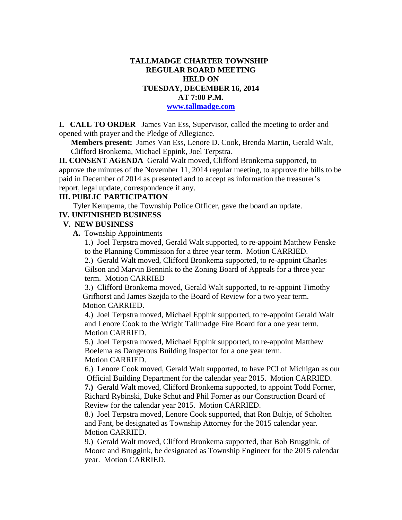### **TALLMADGE CHARTER TOWNSHIP REGULAR BOARD MEETING HELD ON TUESDAY, DECEMBER 16, 2014 AT 7:00 P.M. www.tallmadge.com**

**I. CALL TO ORDER** James Van Ess, Supervisor, called the meeting to order and opened with prayer and the Pledge of Allegiance.

**Members present:** James Van Ess, Lenore D. Cook, Brenda Martin, Gerald Walt, Clifford Bronkema, Michael Eppink, Joel Terpstra.

**II. CONSENT AGENDA** Gerald Walt moved, Clifford Bronkema supported, to approve the minutes of the November 11, 2014 regular meeting, to approve the bills to be paid in December of 2014 as presented and to accept as information the treasurer's report, legal update, correspondence if any.

#### **III. PUBLIC PARTICIPATION**

Tyler Kempema, the Township Police Officer, gave the board an update.

#### **IV. UNFINISHED BUSINESS**

#### **V. NEW BUSINESS**

 **A.** Township Appointments

 1.) Joel Terpstra moved, Gerald Walt supported, to re-appoint Matthew Fenske to the Planning Commission for a three year term. Motion CARRIED.

 2.) Gerald Walt moved, Clifford Bronkema supported, to re-appoint Charles Gilson and Marvin Bennink to the Zoning Board of Appeals for a three year term. Motion CARRIED

 3.) Clifford Bronkema moved, Gerald Walt supported, to re-appoint Timothy Grifhorst and James Szejda to the Board of Review for a two year term. Motion CARRIED.

 4.) Joel Terpstra moved, Michael Eppink supported, to re-appoint Gerald Walt and Lenore Cook to the Wright Tallmadge Fire Board for a one year term. Motion CARRIED.

 5.) Joel Terpstra moved, Michael Eppink supported, to re-appoint Matthew Boelema as Dangerous Building Inspector for a one year term. Motion CARRIED.

 6.) Lenore Cook moved, Gerald Walt supported, to have PCI of Michigan as our Official Building Department for the calendar year 2015. Motion CARRIED.  **7.)** Gerald Walt moved, Clifford Bronkema supported, to appoint Todd Forner,

 Richard Rybinski, Duke Schut and Phil Forner as our Construction Board of Review for the calendar year 2015. Motion CARRIED.

8.) Joel Terpstra moved, Lenore Cook supported, that Ron Bultje, of Scholten and Fant, be designated as Township Attorney for the 2015 calendar year. Motion CARRIED.

 9.) Gerald Walt moved, Clifford Bronkema supported, that Bob Bruggink, of Moore and Bruggink, be designated as Township Engineer for the 2015 calendar year. Motion CARRIED.